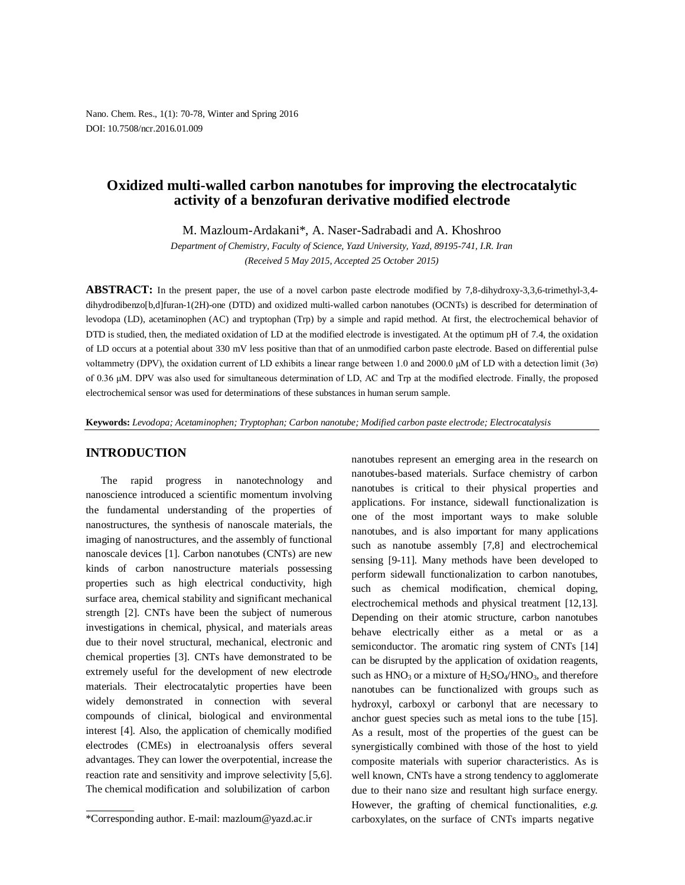Nano. Chem. Res., 1(1): 70-78, Winter and Spring 2016 DOI: 10.7508/ncr.2016.01.009

# **Oxidized multi-walled carbon nanotubes for improving the electrocatalytic activity of a benzofuran derivative modified electrode**

M. Mazloum-Ardakani\*, A. Naser-Sadrabadi and A. Khoshroo

*Department of Chemistry, Faculty of Science, Yazd University, Yazd, 89195-741, I.R. Iran (Received 5 May 2015, Accepted 25 October 2015)*

**ABSTRACT:** In the present paper, the use of a novel carbon paste electrode modified by 7,8-dihydroxy-3,3,6-trimethyl-3,4 dihydrodibenzo[b,d]furan-1(2H)-one (DTD) and oxidized multi-walled carbon nanotubes (OCNTs) is described for determination of levodopa (LD), acetaminophen (AC) and tryptophan (Trp) by a simple and rapid method. At first, the electrochemical behavior of DTD is studied, then, the mediated oxidation of LD at the modified electrode is investigated. At the optimum pH of 7.4, the oxidation of LD occurs at a potential about 330 mV less positive than that of an unmodified carbon paste electrode. Based on differential pulse voltammetry (DPV), the oxidation current of LD exhibits a linear range between 1.0 and 2000.0 μM of LD with a detection limit (3σ) of 0.36 μM. DPV was also used for simultaneous determination of LD, AC and Trp at the modified electrode. Finally, the proposed electrochemical sensor was used for determinations of these substances in human serum sample.

**Keywords:** *Levodopa; Acetaminophen; Tryptophan; Carbon nanotube; Modified carbon paste electrode; Electrocatalysis*

### **INTRODUCTION**

The rapid progress in nanotechnology and nanoscience introduced a scientific momentum involving the fundamental understanding of the properties of nanostructures, the synthesis of nanoscale materials, the imaging of nanostructures, and the assembly of functional nanoscale devices [1]. Carbon nanotubes (CNTs) are new kinds of carbon nanostructure materials possessing properties such as high electrical conductivity, high surface area, chemical stability and significant mechanical strength [2]. CNTs have been the subject of numerous investigations in chemical, physical, and materials areas due to their novel structural, mechanical, electronic and chemical properties [3]. CNTs have demonstrated to be extremely useful for the development of new electrode materials. Their electrocatalytic properties have been widely demonstrated in connection with several compounds of clinical, biological and environmental interest [4]. Also, the application of chemically modified electrodes (CMEs) in electroanalysis offers several advantages. They can lower the overpotential, increase the reaction rate and sensitivity and improve selectivity [5,6]. The chemical modification and solubilization of carbon

nanotubes represent an emerging area in the research on nanotubes-based materials. Surface chemistry of carbon nanotubes is critical to their physical properties and applications. For instance, sidewall functionalization is one of the most important ways to make soluble nanotubes, and is also important for many applications such as nanotube assembly [7,8] and electrochemical sensing [9-11]. Many methods have been developed to perform sidewall functionalization to carbon nanotubes, such as chemical modification, chemical doping, electrochemical methods and physical treatment [12,13]. Depending on their atomic structure, carbon nanotubes behave electrically either as a metal or as a semiconductor. The aromatic ring system of CNTs [14] can be disrupted by the application of oxidation reagents, such as  $HNO<sub>3</sub>$  or a mixture of  $H<sub>2</sub>SO<sub>4</sub>/HNO<sub>3</sub>$ , and therefore nanotubes can be functionalized with groups such as hydroxyl, carboxyl or carbonyl that are necessary to anchor guest species such as metal ions to the tube [15]. As a result, most of the properties of the guest can be synergistically combined with those of the host to yield composite materials with superior characteristics. As is well known, CNTs have a strong tendency to agglomerate due to their nano size and resultant high surface energy. However, the grafting of chemical functionalities, *e.g.* carboxylates, on the surface of CNTs imparts negative

<sup>\*</sup>Corresponding author. E-mail: mazloum@yazd.ac.ir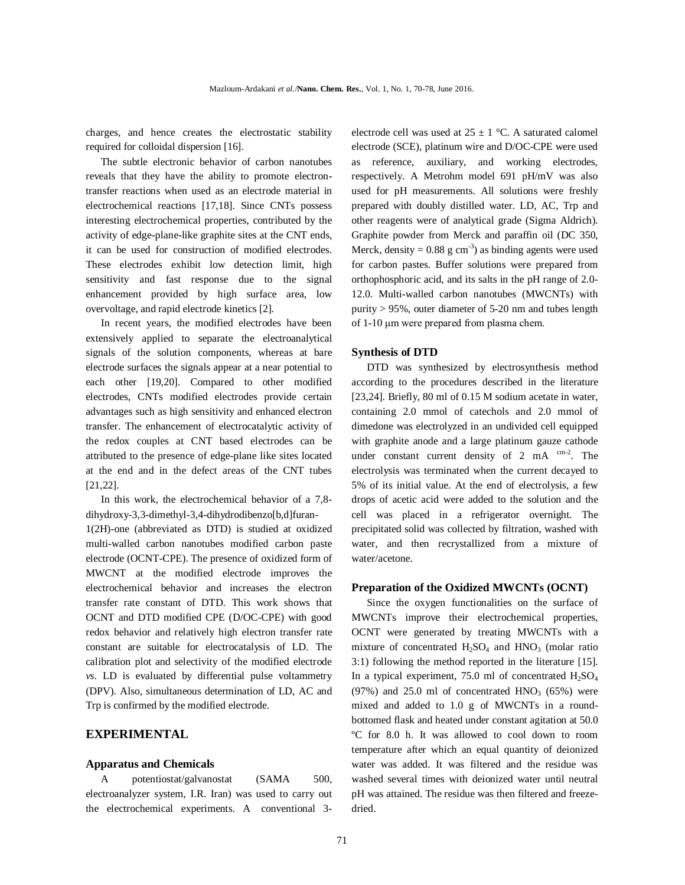charges, and hence creates the electrostatic stability required for colloidal dispersion [16].

The subtle electronic behavior of carbon nanotubes reveals that they have the ability to promote electrontransfer reactions when used as an electrode material in electrochemical reactions [17,18]. Since CNTs possess interesting electrochemical properties, contributed by the activity of edge-plane-like graphite sites at the CNT ends, it can be used for construction of modified electrodes. These electrodes exhibit low detection limit, high sensitivity and fast response due to the signal enhancement provided by high surface area, low overvoltage, and rapid electrode kinetics [2].

In recent years, the modified electrodes have been extensively applied to separate the electroanalytical signals of the solution components, whereas at bare electrode surfaces the signals appear at a near potential to each other [19,20]. Compared to other modified electrodes, CNTs modified electrodes provide certain advantages such as high sensitivity and enhanced electron transfer. The enhancement of electrocatalytic activity of the redox couples at CNT based electrodes can be attributed to the presence of edge-plane like sites located at the end and in the defect areas of the CNT tubes [21,22].

In this work, the electrochemical behavior of a 7,8 dihydroxy-3,3-dimethyl-3,4-dihydrodibenzo[b,d]furan-1(2H)-one (abbreviated as DTD) is studied at oxidized multi-walled carbon nanotubes modified carbon paste electrode (OCNT-CPE). The presence of oxidized form of MWCNT at the modified electrode improves the electrochemical behavior and increases the electron transfer rate constant of DTD. This work shows that OCNT and DTD modified CPE (D/OC-CPE) with good redox behavior and relatively high electron transfer rate constant are suitable for electrocatalysis of LD. The calibration plot and selectivity of the modified electrode *vs*. LD is evaluated by differential pulse voltammetry (DPV). Also, simultaneous determination of LD, AC and Trp is confirmed by the modified electrode.

## **EXPERIMENTAL**

#### **Apparatus and Chemicals**

A potentiostat/galvanostat (SAMA 500, electroanalyzer system, I.R. Iran) was used to carry out the electrochemical experiments. A conventional 3electrode cell was used at  $25 \pm 1$  °C. A saturated calomel electrode (SCE), platinum wire and D/OC-CPE were used as reference, auxiliary, and working electrodes, respectively. A Metrohm model 691 pH/mV was also used for pH measurements. All solutions were freshly prepared with doubly distilled water. LD, AC, Trp and other reagents were of analytical grade (Sigma Aldrich). Graphite powder from Merck and paraffin oil (DC 350, Merck, density =  $0.88$  g cm<sup>-3</sup>) as binding agents were used for carbon pastes. Buffer solutions were prepared from orthophosphoric acid, and its salts in the pH range of 2.0- 12.0. Multi-walled carbon nanotubes (MWCNTs) with purity > 95%, outer diameter of 5-20 nm and tubes length of 1-10 μm were prepared from plasma chem.

#### **Synthesis of DTD**

DTD was synthesized by electrosynthesis method according to the procedures described in the literature [23,24]. Briefly, 80 ml of 0.15 M sodium acetate in water, containing 2.0 mmol of catechols and 2.0 mmol of dimedone was electrolyzed in an undivided cell equipped with graphite anode and a large platinum gauze cathode under constant current density of  $2 \text{ mA}^{\text{cm}-2}$ . The electrolysis was terminated when the current decayed to 5% of its initial value. At the end of electrolysis, a few drops of acetic acid were added to the solution and the cell was placed in a refrigerator overnight. The precipitated solid was collected by filtration, washed with water, and then recrystallized from a mixture of water/acetone.

#### **Preparation of the Oxidized MWCNTs (OCNT)**

Since the oxygen functionalities on the surface of MWCNTs improve their electrochemical properties, OCNT were generated by treating MWCNTs with a mixture of concentrated  $H_2SO_4$  and  $HNO_3$  (molar ratio 3:1) following the method reported in the literature [15]. In a typical experiment, 75.0 ml of concentrated  $H_2SO_4$  $(97%)$  and 25.0 ml of concentrated HNO<sub>3</sub>  $(65%)$  were mixed and added to 1.0 g of MWCNTs in a roundbottomed flask and heated under constant agitation at 50.0 ºC for 8.0 h. It was allowed to cool down to room temperature after which an equal quantity of deionized water was added. It was filtered and the residue was washed several times with deionized water until neutral pH was attained. The residue was then filtered and freezedried.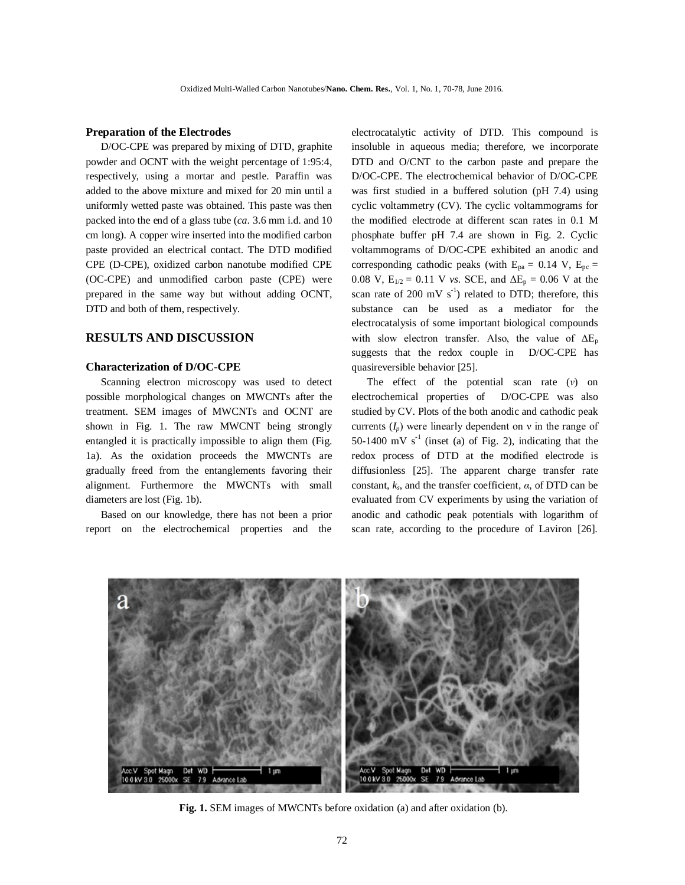#### **Preparation of the Electrodes**

D/OC-CPE was prepared by mixing of DTD, graphite powder and OCNT with the weight percentage of 1:95:4, respectively, using a mortar and pestle. Paraffin was added to the above mixture and mixed for 20 min until a uniformly wetted paste was obtained. This paste was then packed into the end of a glass tube (*ca*. 3.6 mm i.d. and 10 cm long). A copper wire inserted into the modified carbon paste provided an electrical contact. The DTD modified CPE (D-CPE), oxidized carbon nanotube modified CPE (OC-CPE) and unmodified carbon paste (CPE) were prepared in the same way but without adding OCNT, DTD and both of them, respectively.

# **RESULTS AND DISCUSSION**

### **Characterization of D/OC-CPE**

Scanning electron microscopy was used to detect possible morphological changes on MWCNTs after the treatment. SEM images of MWCNTs and OCNT are shown in Fig. 1. The raw MWCNT being strongly entangled it is practically impossible to align them (Fig. 1a). As the oxidation proceeds the MWCNTs are gradually freed from the entanglements favoring their alignment. Furthermore the MWCNTs with small diameters are lost (Fig. 1b).

Based on our knowledge, there has not been a prior report on the electrochemical properties and the electrocatalytic activity of DTD. This compound is insoluble in aqueous media; therefore, we incorporate DTD and O/CNT to the carbon paste and prepare the D/OC-CPE. The electrochemical behavior of D/OC-CPE was first studied in a buffered solution (pH 7.4) using cyclic voltammetry (CV). The cyclic voltammograms for the modified electrode at different scan rates in 0.1 M phosphate buffer pH 7.4 are shown in Fig. 2. Cyclic voltammograms of D/OC-CPE exhibited an anodic and corresponding cathodic peaks (with  $E_{pa} = 0.14$  V,  $E_{pc} =$ 0.08 V,  $E_{1/2} = 0.11$  V *vs.* SCE, and  $\Delta E_p = 0.06$  V at the scan rate of 200 mV  $s^{-1}$ ) related to DTD; therefore, this substance can be used as a mediator for the electrocatalysis of some important biological compounds with slow electron transfer. Also, the value of  $\Delta E_p$ suggests that the redox couple in D/OC-CPE has quasireversible behavior [25].

The effect of the potential scan rate (*ν*) on electrochemical properties of D/OC-CPE was also studied by CV. Plots of the both anodic and cathodic peak currents  $(I_p)$  were linearly dependent on  $v$  in the range of 50-1400 mV  $s<sup>-1</sup>$  (inset (a) of Fig. 2), indicating that the redox process of DTD at the modified electrode is diffusionless [25]. The apparent charge transfer rate constant,  $k_s$ , and the transfer coefficient,  $\alpha$ , of DTD can be evaluated from CV experiments by using the variation of anodic and cathodic peak potentials with logarithm of scan rate, according to the procedure of Laviron [26].



**Fig. 1.** SEM images of MWCNTs before oxidation (a) and after oxidation (b).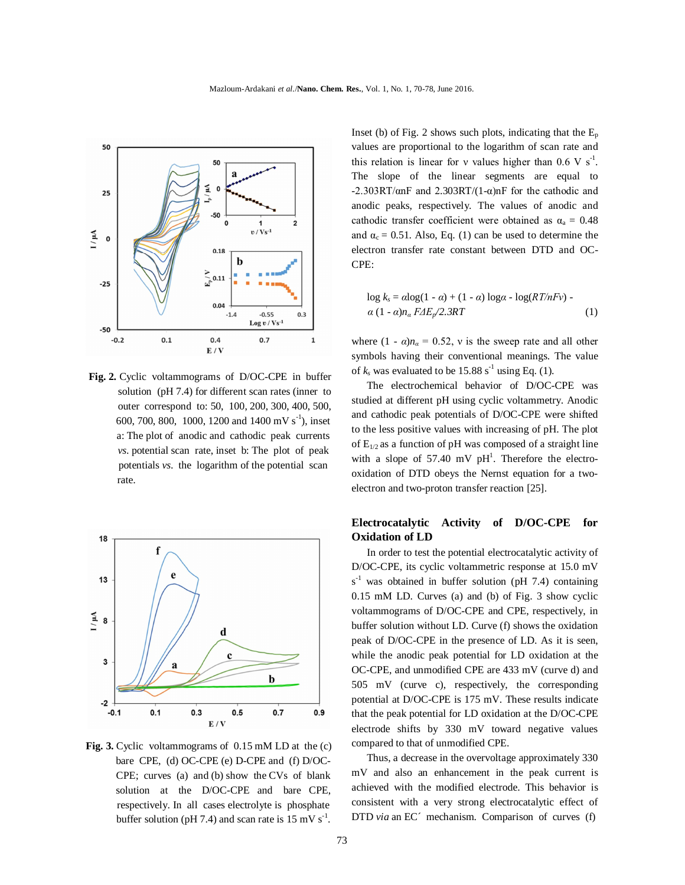

 **Fig. 2.** Cyclic voltammograms of D/OC-CPE in buffer solution (pH 7.4) for different scan rates (inner to outer correspond to: 50, 100, 200, 300, 400, 500, 600, 700, 800, 1000, 1200 and 1400 mV s<sup>-1</sup>), inset a: The plot of anodic and cathodic peak currents *vs*. potential scan rate, inset b: The plot of peak potentials *vs*. the logarithm of the potential scan rate.



**Fig. 3.** Cyclic voltammograms of 0.15 mM LD at the (c) bare CPE, (d) OC-CPE (e) D-CPE and (f) D/OC- CPE; curves (a) and (b) show the CVs of blank solution at the D/OC-CPE and bare CPE, respectively. In all cases electrolyte is phosphate buffer solution (pH 7.4) and scan rate is 15 mV  $s^{-1}$ .

Inset (b) of Fig. 2 shows such plots, indicating that the  $E_p$ values are proportional to the logarithm of scan rate and this relation is linear for v values higher than  $0.6 \text{ V s}^{-1}$ . The slope of the linear segments are equal to  $-2.303RT/\alpha nF$  and  $2.303RT/(1-\alpha)nF$  for the cathodic and anodic peaks, respectively. The values of anodic and cathodic transfer coefficient were obtained as  $\alpha_a = 0.48$ and  $\alpha_c = 0.51$ . Also, Eq. (1) can be used to determine the electron transfer rate constant between DTD and OC-CPE:

$$
\log k_s = \alpha \log(1 - \alpha) + (1 - \alpha) \log \alpha - \log(RT/nFv) - \alpha (1 - \alpha)n_a \, F \Delta E_p / 2.3RT \tag{1}
$$

where  $(1 - \alpha)n_{\alpha} = 0.52$ , v is the sweep rate and all other symbols having their conventional meanings. The value of  $k_s$  was evaluated to be 15.88 s<sup>-1</sup> using Eq. (1).

The electrochemical behavior of D/OC-CPE was studied at different pH using cyclic voltammetry. Anodic and cathodic peak potentials of D/OC-CPE were shifted to the less positive values with increasing of pH. The plot of  $E_{1/2}$  as a function of pH was composed of a straight line with a slope of  $57.40$  mV pH<sup>1</sup>. Therefore the electrooxidation of DTD obeys the Nernst equation for a twoelectron and two-proton transfer reaction [25].

# **Electrocatalytic Activity of D/OC-CPE for Oxidation of LD**

In order to test the potential electrocatalytic activity of D/OC-CPE, its cyclic voltammetric response at 15.0 mV  $s<sup>-1</sup>$  was obtained in buffer solution (pH 7.4) containing 0.15 mM LD. Curves (a) and (b) of Fig. 3 show cyclic voltammograms of D/OC-CPE and CPE, respectively, in buffer solution without LD. Curve (f) shows the oxidation peak of D/OC-CPE in the presence of LD. As it is seen, while the anodic peak potential for LD oxidation at the OC-CPE, and unmodified CPE are 433 mV (curve d) and 505 mV (curve c), respectively, the corresponding potential at D/OC-CPE is 175 mV. These results indicate that the peak potential for LD oxidation at the D/OC-CPE electrode shifts by 330 mV toward negative values compared to that of unmodified CPE.

Thus, a decrease in the overvoltage approximately 330 mV and also an enhancement in the peak current is achieved with the modified electrode. This behavior is consistent with a very strong electrocatalytic effect of DTD *via* an EC<sup> $\prime$ </sup> mechanism. Comparison of curves (f)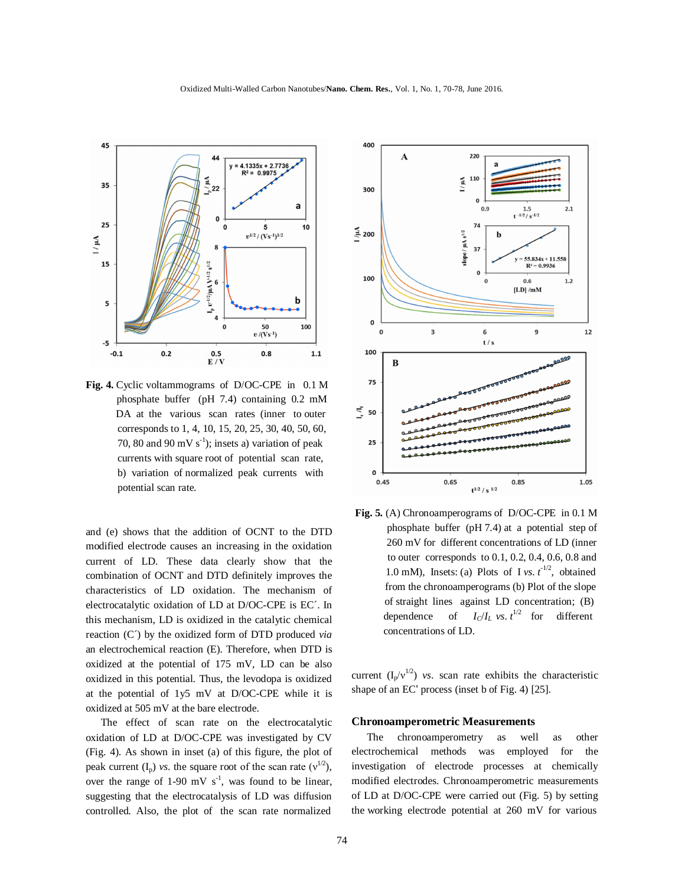



**Fig. 4.** Cyclic voltammograms of D/OC-CPE in 0.1 M phosphate buffer (pH 7.4) containing 0.2 mM DA at the various scan rates (inner to outer corresponds to 1, 4, 10, 15, 20, 25, 30, 40, 50, 60, 70, 80 and 90 mV  $s^{-1}$ ); insets a) variation of peak currents with square root of potential scan rate, b) variation of normalized peak currents with potential scan rate.

and (e) shows that the addition of OCNT to the DTD modified electrode causes an increasing in the oxidation current of LD. These data clearly show that the combination of OCNT and DTD definitely improves the characteristics of LD oxidation. The mechanism of electrocatalytic oxidation of LD at D/OC-CPE is EC´. In this mechanism, LD is oxidized in the catalytic chemical reaction (C´) by the oxidized form of DTD produced *via*  an electrochemical reaction (E). Therefore, when DTD is oxidized at the potential of 175 mV, LD can be also oxidized in this potential. Thus, the levodopa is oxidized at the potential of 1y5 mV at D/OC-CPE while it is oxidized at 505 mV at the bare electrode.

The effect of scan rate on the electrocatalytic oxidation of LD at D/OC-CPE was investigated by CV (Fig. 4). As shown in inset (a) of this figure, the plot of peak current  $(I_n)$  *vs*. the square root of the scan rate  $(v^{1/2})$ , over the range of 1-90 mV  $s^{-1}$ , was found to be linear, suggesting that the electrocatalysis of LD was diffusion controlled. Also, the plot of the scan rate normalized



 **Fig. 5.** (A) Chronoamperograms of D/OC-CPE in 0.1 M phosphate buffer (pH 7.4) at a potential step of 260 mV for different concentrations of LD (inner to outer corresponds to 0.1, 0.2, 0.4, 0.6, 0.8 and 1.0 mM), Insets: (a) Plots of I *vs.*  $t^{-1/2}$ , obtained from the chronoamperograms (b) Plot of the slope of straight lines against LD concentration; (B) dependence of  $I_C/I_L$  *vs.*  $t^{1/2}$  for different concentrations of LD.

current  $(I_p/v^{1/2})$  *vs.* scan rate exhibits the characteristic shape of an ECʹ process (inset b of Fig. 4) [25].

#### **Chronoamperometric Measurements**

The chronoamperometry as well as other electrochemical methods was employed for the investigation of electrode processes at chemically modified electrodes. Chronoamperometric measurements of LD at D/OC-CPE were carried out (Fig. 5) by setting the working electrode potential at 260 mV for various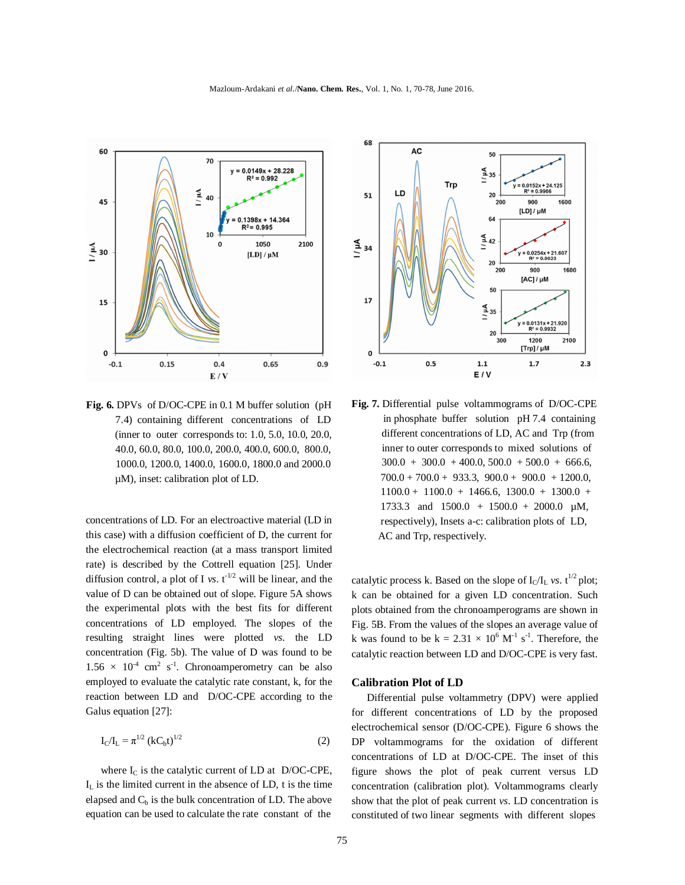Mazloum-Ardakani *et al*./**Nano. Chem. Res.**, Vol. 1, No. 1, 70-78, June 2016.



**Fig. 6.** DPVs of D/OC-CPE in 0.1 M buffer solution (pH 7.4) containing different concentrations of LD (inner to outer corresponds to: 1.0, 5.0, 10.0, 20.0, 40.0, 60.0, 80.0, 100.0, 200.0, 400.0, 600.0, 800.0, 1000.0, 1200.0, 1400.0, 1600.0, 1800.0 and 2000.0 µM), inset: calibration plot of LD.

concentrations of LD. For an electroactive material (LD in this case) with a diffusion coefficient of D, the current for the electrochemical reaction (at a mass transport limited rate) is described by the Cottrell equation [25]. Under diffusion control, a plot of I *vs.*  $t^{-1/2}$  will be linear, and the value of D can be obtained out of slope. Figure 5A shows the experimental plots with the best fits for different concentrations of LD employed. The slopes of the resulting straight lines were plotted *vs*. the LD concentration (Fig. 5b). The value of D was found to be  $1.56 \times 10^{-4}$  cm<sup>2</sup> s<sup>-1</sup>. Chronoamperometry can be also employed to evaluate the catalytic rate constant, k, for the reaction between LD and D/OC-CPE according to the Galus equation [27]:

$$
I_C/I_L = \pi^{1/2} (kC_b t)^{1/2}
$$
 (2)

where  $I_C$  is the catalytic current of LD at D/OC-CPE,  $I<sub>L</sub>$  is the limited current in the absence of LD, t is the time elapsed and  $C<sub>b</sub>$  is the bulk concentration of LD. The above equation can be used to calculate the rate constant of the



**Fig. 7.** Differential pulse voltammograms of D/OC-CPE in phosphate buffer solution pH 7.4 containing different concentrations of LD, AC and Trp (from inner to outer corresponds to mixed solutions of  $300.0 + 300.0 + 400.0, 500.0 + 500.0 + 666.6,$  $700.0 + 700.0 + 933.3, 900.0 + 900.0 + 1200.0,$  $1100.0 + 1100.0 + 1466.6, 1300.0 + 1300.0 +$ 1733.3 and  $1500.0 + 1500.0 + 2000.0 \mu M$ , respectively), Insets a-c: calibration plots of LD, AC and Trp, respectively.

catalytic process k. Based on the slope of  $I_C/I_L$  *vs.* t<sup>1/2</sup> plot; k can be obtained for a given LD concentration. Such plots obtained from the chronoamperograms are shown in Fig. 5B. From the values of the slopes an average value of k was found to be  $k = 2.31 \times 10^6$  M<sup>-1</sup> s<sup>-1</sup>. Therefore, the catalytic reaction between LD and D/OC-CPE is very fast.

## **Calibration Plot of LD**

Differential pulse voltammetry (DPV) were applied for different concentrations of LD by the proposed electrochemical sensor (D/OC-CPE). Figure 6 shows the DP voltammograms for the oxidation of different concentrations of LD at D/OC-CPE. The inset of this figure shows the plot of peak current versus LD concentration (calibration plot). Voltammograms clearly show that the plot of peak current *vs*. LD concentration is constituted of two linear segments with different slopes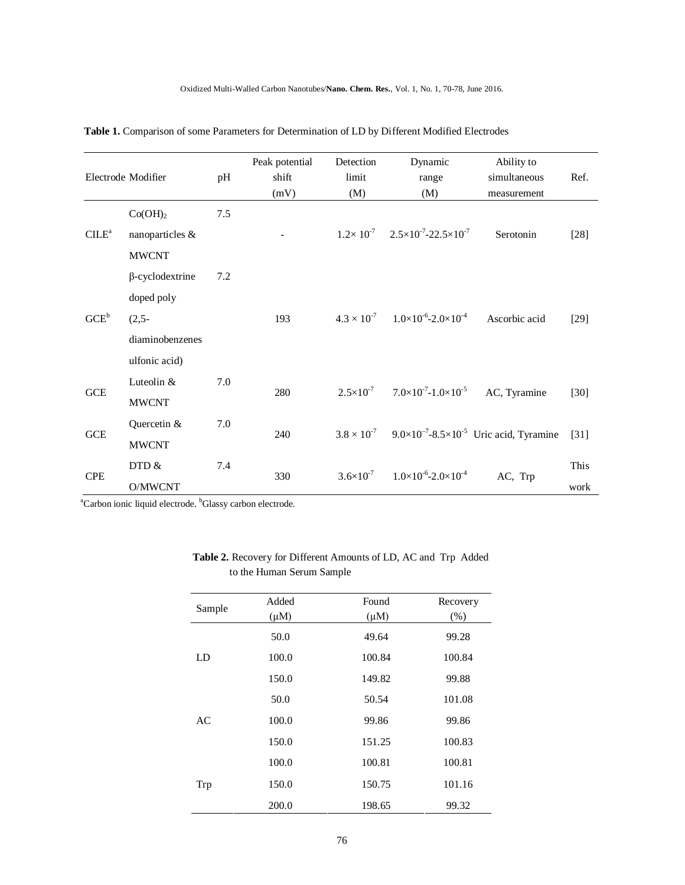|                  | Electrode Modifier                                                                  | pH  | Peak potential<br>shift<br>(mV) | Detection<br>limit<br>(M) | Dynamic<br>range<br>(M)                                          | Ability to<br>simultaneous<br>measurement                                           | Ref.         |
|------------------|-------------------------------------------------------------------------------------|-----|---------------------------------|---------------------------|------------------------------------------------------------------|-------------------------------------------------------------------------------------|--------------|
| $CILE^a$         | Co(OH) <sub>2</sub><br>nanoparticles &<br><b>MWCNT</b>                              | 7.5 |                                 |                           | $1.2 \times 10^{-7}$ $2.5 \times 10^{-7}$ -22.5×10 <sup>-7</sup> | Serotonin                                                                           | $[28]$       |
| GCE <sup>b</sup> | $\beta$ -cyclodextrine<br>doped poly<br>$(2,5-$<br>diaminobenzenes<br>ulfonic acid) | 7.2 | 193                             |                           | $4.3 \times 10^{-7}$ $1.0 \times 10^{-6}$ -2.0×10 <sup>-4</sup>  | Ascorbic acid                                                                       | $[29]$       |
| <b>GCE</b>       | Luteolin &<br><b>MWCNT</b>                                                          | 7.0 | 280                             | $2.5 \times 10^{-7}$      | $7.0\times10^{-7}$ -1.0 $\times10^{-5}$                          | AC, Tyramine                                                                        | $[30]$       |
| GCE              | Quercetin &<br><b>MWCNT</b>                                                         | 7.0 | 240                             |                           |                                                                  | $3.8 \times 10^{-7}$ 9.0×10 <sup>-7</sup> -8.5×10 <sup>-5</sup> Uric acid, Tyramine | $[31]$       |
| <b>CPE</b>       | DTD &<br>O/MWCNT                                                                    | 7.4 | 330                             | $3.6 \times 10^{-7}$      | $1.0\times10^{-6}$ -2.0 $\times10^{-4}$                          | AC, Trp                                                                             | This<br>work |

 **Table 1.** Comparison of some Parameters for Determination of LD by Different Modified Electrodes

<sup>a</sup>Carbon ionic liquid electrode. <sup>b</sup>Glassy carbon electrode.

| Sample | Added     | Found     | Recovery |
|--------|-----------|-----------|----------|
|        | $(\mu M)$ | $(\mu M)$ | (%)      |
|        | 50.0      | 49.64     | 99.28    |
| LD     | 100.0     | 100.84    | 100.84   |
|        | 150.0     | 149.82    | 99.88    |
|        | 50.0      | 50.54     | 101.08   |
| AC     | 100.0     | 99.86     | 99.86    |
|        | 150.0     | 151.25    | 100.83   |
|        | 100.0     | 100.81    | 100.81   |
| Trp    | 150.0     | 150.75    | 101.16   |
|        | 200.0     | 198.65    | 99.32    |

# **Table 2.** Recovery for Different Amounts of LD, AC and Trp Added to the Human Serum Sample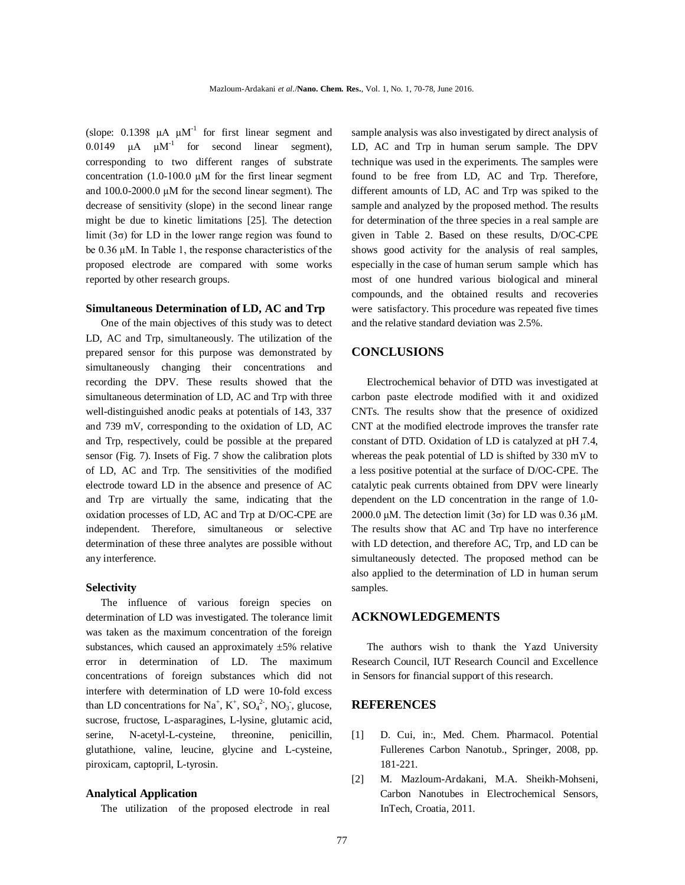(slope: 0.1398  $\mu A \mu M^{-1}$  for first linear segment and 0.0149  $\mu$ A  $\mu$ M<sup>-1</sup> for second linear segment), corresponding to two different ranges of substrate concentration (1.0-100.0 μM for the first linear segment and 100.0-2000.0 μM for the second linear segment). The decrease of sensitivity (slope) in the second linear range might be due to kinetic limitations [25]. The detection limit ( $3\sigma$ ) for LD in the lower range region was found to be 0.36 μM. In Table 1, the response characteristics of the proposed electrode are compared with some works reported by other research groups.

#### **Simultaneous Determination of LD, AC and Trp**

One of the main objectives of this study was to detect LD, AC and Trp, simultaneously. The utilization of the prepared sensor for this purpose was demonstrated by simultaneously changing their concentrations and recording the DPV. These results showed that the simultaneous determination of LD, AC and Trp with three well-distinguished anodic peaks at potentials of 143, 337 and 739 mV, corresponding to the oxidation of LD, AC and Trp, respectively, could be possible at the prepared sensor (Fig. 7). Insets of Fig. 7 show the calibration plots of LD, AC and Trp. The sensitivities of the modified electrode toward LD in the absence and presence of AC and Trp are virtually the same, indicating that the oxidation processes of LD, AC and Trp at D/OC-CPE are independent. Therefore, simultaneous or selective determination of these three analytes are possible without any interference.

#### **Selectivity**

The influence of various foreign species on determination of LD was investigated. The tolerance limit was taken as the maximum concentration of the foreign substances, which caused an approximately  $\pm 5\%$  relative error in determination of LD. The maximum concentrations of foreign substances which did not interfere with determination of LD were 10-fold excess than LD concentrations for  $Na^+$ ,  $K^+$ ,  $SO_4^2$ <sup>2</sup>,  $NO_3$ <sup>2</sup>, glucose, sucrose, fructose, L-asparagines, L-lysine, glutamic acid, serine, N-acetyl-L-cysteine, threonine, penicillin, glutathione, valine, leucine, glycine and L-cysteine, piroxicam, captopril, L-tyrosin.

#### **Analytical Application**

The utilization of the proposed electrode in real

sample analysis was also investigated by direct analysis of LD, AC and Trp in human serum sample. The DPV technique was used in the experiments. The samples were found to be free from LD, AC and Trp. Therefore, different amounts of LD, AC and Trp was spiked to the sample and analyzed by the proposed method. The results for determination of the three species in a real sample are given in Table 2. Based on these results, D/OC-CPE shows good activity for the analysis of real samples, especially in the case of human serum sample which has most of one hundred various biological and mineral compounds, and the obtained results and recoveries were satisfactory. This procedure was repeated five times and the relative standard deviation was 2.5%.

## **CONCLUSIONS**

Electrochemical behavior of DTD was investigated at carbon paste electrode modified with it and oxidized CNTs. The results show that the presence of oxidized CNT at the modified electrode improves the transfer rate constant of DTD. Oxidation of LD is catalyzed at pH 7.4, whereas the peak potential of LD is shifted by 330 mV to a less positive potential at the surface of D/OC-CPE. The catalytic peak currents obtained from DPV were linearly dependent on the LD concentration in the range of 1.0- 2000.0 μM. The detection limit  $(3σ)$  for LD was 0.36 μM. The results show that AC and Trp have no interference with LD detection, and therefore AC, Trp, and LD can be simultaneously detected. The proposed method can be also applied to the determination of LD in human serum samples.

### **ACKNOWLEDGEMENTS**

The authors wish to thank the Yazd University Research Council, IUT Research Council and Excellence in Sensors for financial support of this research.

### **REFERENCES**

- [1] D. Cui, in:, Med. Chem. Pharmacol. Potential Fullerenes Carbon Nanotub., Springer, 2008, pp. 181-221.
- [2] M. Mazloum-Ardakani, M.A. Sheikh-Mohseni, Carbon Nanotubes in Electrochemical Sensors, InTech, Croatia, 2011.